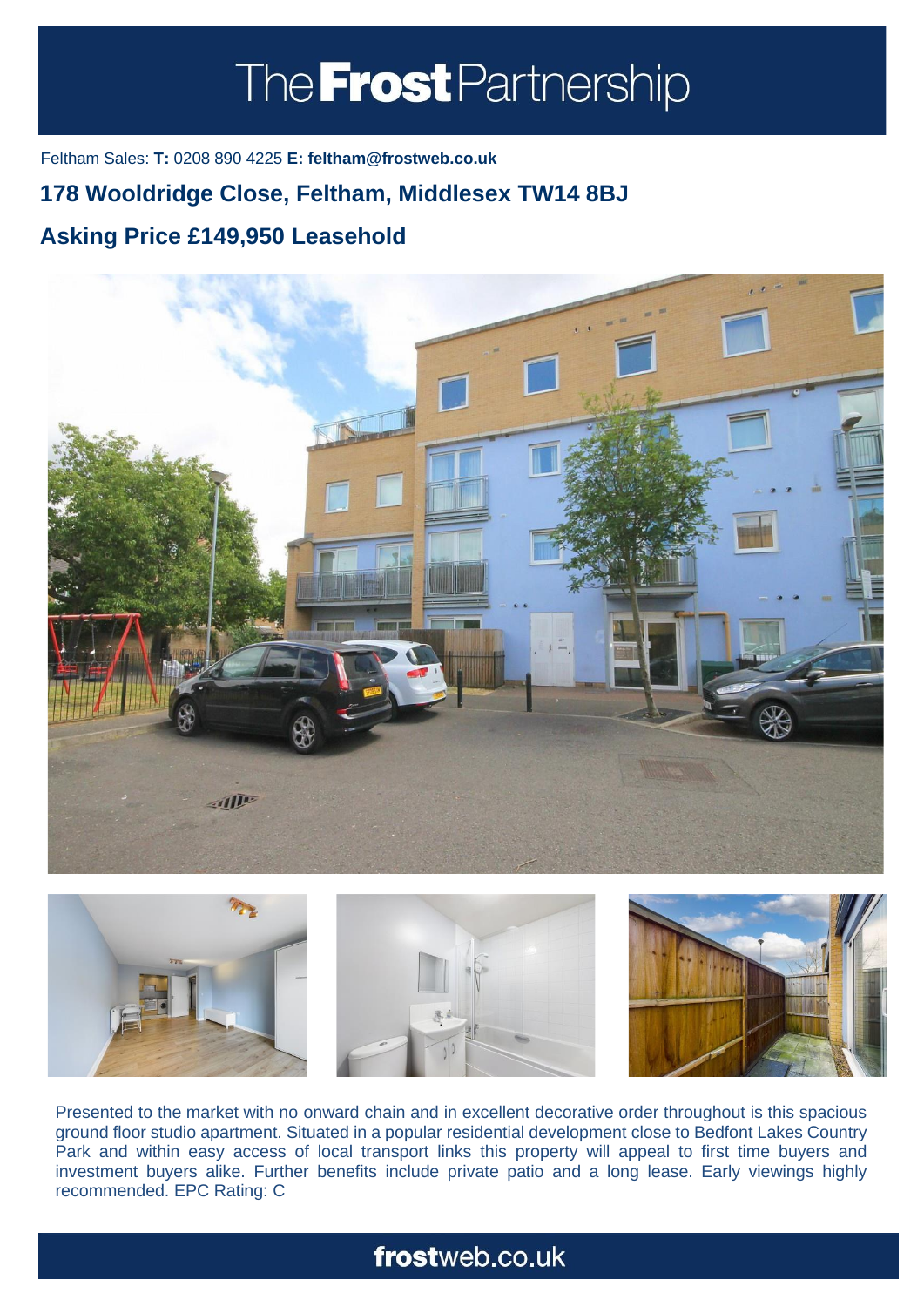# The **Frost** Partnership

Feltham Sales: **T:** 0208 890 4225 **E: feltham@frostweb.co.uk**

### **178 Wooldridge Close, Feltham, Middlesex TW14 8BJ**

#### **Asking Price £149,950 Leasehold (Property.Lettings.RentQual == "PA" ? "Rent on application" : Property.** Property. **Property.**





Presented to the market with no onward chain and in excellent decorative order throughout is this spacious ground floor studio apartment. Situated in a popular residential development close to Bedfont Lakes Country Park and within easy access of local transport links this property will appeal to first time buyers and investment buyers alike. Further benefits include private patio and a long lease. Early viewings highly recommended. EPC Rating: C

## frostweb.co.uk